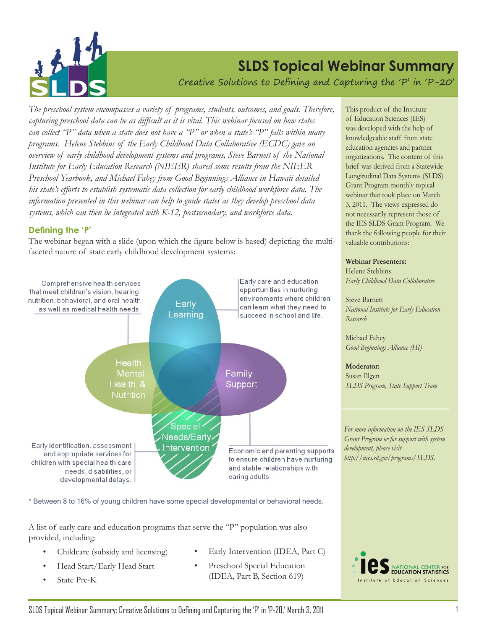

# **SLDS Topical Webinar Summary**

Creative Solutions to Defining and Capturing the 'P' in 'P-20'

*The preschool system encompasses a variety of programs, students, outcomes, and goals. Therefore, capturing preschool data can be as difficult as it is vital. This webinar focused on how states can collect "P" data when a state does not have a "P" or when a state's "P" falls within many programs. Helene Stebbins of the Early Childhood Data Collaborative (ECDC) gave an overview of early childhood development systems and programs, Steve Barnett of the National Institute for Early Education Research (NIEER) shared some results from the NIEER Preschool Yearbook, and Michael Fahey from Good Beginnings Alliance in Hawaii detailed his state's efforts to establish systematic data collection for early childhood workforce data. The information presented in this webinar can help to guide states as they develop preschool data systems, which can then be integrated with K-12, postsecondary, and workforce data.* 

### **Defining the 'P'**

The webinar began with a slide (upon which the figure below is based) depicting the multifaceted nature of state early childhood development systems:



\* Between 8 to 16% of young children have some special developmental or behavioral needs.

A list of early care and education programs that serve the "P" population was also provided, including:

- Childcare (subsidy and licensing)
- 
- 
- Early Intervention (IDEA, Part C)
- Head Start/Early Head Start Preschool Special Education State Pre-K (IDEA, Part B, Section 619)

This product of the Institute of Education Sciences (IES) was developed with the help of knowledgeable staff from state education agencies and partner organizations. The content of this brief was derived from a Statewide Longitudinal Data Systems (SLDS) Grant Program monthly topical webinar that took place on March 3, 2011. The views expressed do not necessarily represent those of the IES SLDS Grant Program. We thank the following people for their valuable contributions:

#### **Webinar Presenters:**

Helene Stebbins *Early Childhood Data Collaborative*

Steve Barnett *National Institute for Early Education Research*

Michael Fahey *Good Beginnings Alliance (HI)*

**Moderator:** Susan Illgen *SLDS Program, State Support Team*

*For more information on the IES SLDS Grant Program or for support with system development, please visit http://nces.ed.gov/programs/SLDS.*